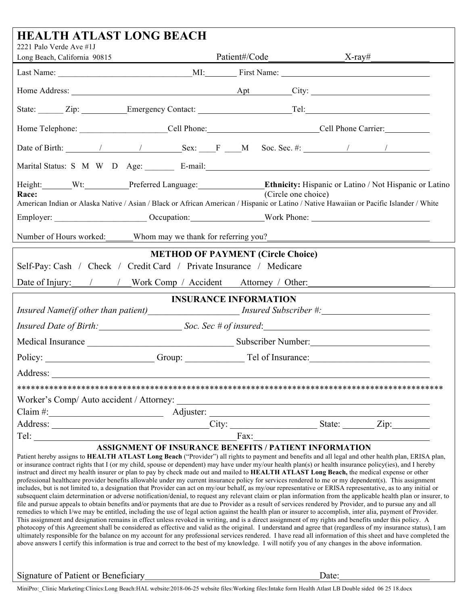| <b>HEALTH ATLAST LONG BEACH</b>                                                                                                                                                                                                                                                                                                                                                                                                                                                                                                                                                                                                                                                                                                                                                                                                                                                                                                                                                                                                                                                                                                                                                                                                                                                                                                                                                                                                                                                                                                                                                                                                                                                                                                                                                                                                                                                                                                                                                                                  |  |                                          |  |  |  |
|------------------------------------------------------------------------------------------------------------------------------------------------------------------------------------------------------------------------------------------------------------------------------------------------------------------------------------------------------------------------------------------------------------------------------------------------------------------------------------------------------------------------------------------------------------------------------------------------------------------------------------------------------------------------------------------------------------------------------------------------------------------------------------------------------------------------------------------------------------------------------------------------------------------------------------------------------------------------------------------------------------------------------------------------------------------------------------------------------------------------------------------------------------------------------------------------------------------------------------------------------------------------------------------------------------------------------------------------------------------------------------------------------------------------------------------------------------------------------------------------------------------------------------------------------------------------------------------------------------------------------------------------------------------------------------------------------------------------------------------------------------------------------------------------------------------------------------------------------------------------------------------------------------------------------------------------------------------------------------------------------------------|--|------------------------------------------|--|--|--|
| 2221 Palo Verde Ave #1J<br>Long Beach, California 90815                                                                                                                                                                                                                                                                                                                                                                                                                                                                                                                                                                                                                                                                                                                                                                                                                                                                                                                                                                                                                                                                                                                                                                                                                                                                                                                                                                                                                                                                                                                                                                                                                                                                                                                                                                                                                                                                                                                                                          |  |                                          |  |  |  |
|                                                                                                                                                                                                                                                                                                                                                                                                                                                                                                                                                                                                                                                                                                                                                                                                                                                                                                                                                                                                                                                                                                                                                                                                                                                                                                                                                                                                                                                                                                                                                                                                                                                                                                                                                                                                                                                                                                                                                                                                                  |  |                                          |  |  |  |
|                                                                                                                                                                                                                                                                                                                                                                                                                                                                                                                                                                                                                                                                                                                                                                                                                                                                                                                                                                                                                                                                                                                                                                                                                                                                                                                                                                                                                                                                                                                                                                                                                                                                                                                                                                                                                                                                                                                                                                                                                  |  |                                          |  |  |  |
| State: <u>Zip: Emergency Contact: Tel:</u> Tel:                                                                                                                                                                                                                                                                                                                                                                                                                                                                                                                                                                                                                                                                                                                                                                                                                                                                                                                                                                                                                                                                                                                                                                                                                                                                                                                                                                                                                                                                                                                                                                                                                                                                                                                                                                                                                                                                                                                                                                  |  |                                          |  |  |  |
|                                                                                                                                                                                                                                                                                                                                                                                                                                                                                                                                                                                                                                                                                                                                                                                                                                                                                                                                                                                                                                                                                                                                                                                                                                                                                                                                                                                                                                                                                                                                                                                                                                                                                                                                                                                                                                                                                                                                                                                                                  |  |                                          |  |  |  |
| Date of Birth: 1 1 Sex: F M Soc. Sec. #: 1 1                                                                                                                                                                                                                                                                                                                                                                                                                                                                                                                                                                                                                                                                                                                                                                                                                                                                                                                                                                                                                                                                                                                                                                                                                                                                                                                                                                                                                                                                                                                                                                                                                                                                                                                                                                                                                                                                                                                                                                     |  |                                          |  |  |  |
| Marital Status: S M W D Age: E-mail: E-mail:                                                                                                                                                                                                                                                                                                                                                                                                                                                                                                                                                                                                                                                                                                                                                                                                                                                                                                                                                                                                                                                                                                                                                                                                                                                                                                                                                                                                                                                                                                                                                                                                                                                                                                                                                                                                                                                                                                                                                                     |  |                                          |  |  |  |
| Height: Wt: Preferred Language: Ethnicity: Hispanic or Latino / Not Hispanic or Latino<br>Race:<br>American Indian or Alaska Native / Asian / Black or African American / Hispanic or Latino / Native Hawaiian or Pacific Islander / White                                                                                                                                                                                                                                                                                                                                                                                                                                                                                                                                                                                                                                                                                                                                                                                                                                                                                                                                                                                                                                                                                                                                                                                                                                                                                                                                                                                                                                                                                                                                                                                                                                                                                                                                                                       |  | (Circle one choice)                      |  |  |  |
|                                                                                                                                                                                                                                                                                                                                                                                                                                                                                                                                                                                                                                                                                                                                                                                                                                                                                                                                                                                                                                                                                                                                                                                                                                                                                                                                                                                                                                                                                                                                                                                                                                                                                                                                                                                                                                                                                                                                                                                                                  |  |                                          |  |  |  |
| Number of Hours worked: Whom may we thank for referring you?<br><u>Number of Hours worked:</u> Whom may we thank for referring you?<br><u>Letting you</u>                                                                                                                                                                                                                                                                                                                                                                                                                                                                                                                                                                                                                                                                                                                                                                                                                                                                                                                                                                                                                                                                                                                                                                                                                                                                                                                                                                                                                                                                                                                                                                                                                                                                                                                                                                                                                                                        |  |                                          |  |  |  |
| Self-Pay: Cash / Check / Credit Card / Private Insurance / Medicare<br>Date of Injury: / / / Work Comp / Accident Attorney / Other:                                                                                                                                                                                                                                                                                                                                                                                                                                                                                                                                                                                                                                                                                                                                                                                                                                                                                                                                                                                                                                                                                                                                                                                                                                                                                                                                                                                                                                                                                                                                                                                                                                                                                                                                                                                                                                                                              |  | <b>METHOD OF PAYMENT (Circle Choice)</b> |  |  |  |
|                                                                                                                                                                                                                                                                                                                                                                                                                                                                                                                                                                                                                                                                                                                                                                                                                                                                                                                                                                                                                                                                                                                                                                                                                                                                                                                                                                                                                                                                                                                                                                                                                                                                                                                                                                                                                                                                                                                                                                                                                  |  | <b>INSURANCE INFORMATION</b>             |  |  |  |
| Insured Name(if other than patient) Insured Subscriber #:                                                                                                                                                                                                                                                                                                                                                                                                                                                                                                                                                                                                                                                                                                                                                                                                                                                                                                                                                                                                                                                                                                                                                                                                                                                                                                                                                                                                                                                                                                                                                                                                                                                                                                                                                                                                                                                                                                                                                        |  |                                          |  |  |  |
| Insured Date of Birth: Soc. Sec # of insured:                                                                                                                                                                                                                                                                                                                                                                                                                                                                                                                                                                                                                                                                                                                                                                                                                                                                                                                                                                                                                                                                                                                                                                                                                                                                                                                                                                                                                                                                                                                                                                                                                                                                                                                                                                                                                                                                                                                                                                    |  |                                          |  |  |  |
|                                                                                                                                                                                                                                                                                                                                                                                                                                                                                                                                                                                                                                                                                                                                                                                                                                                                                                                                                                                                                                                                                                                                                                                                                                                                                                                                                                                                                                                                                                                                                                                                                                                                                                                                                                                                                                                                                                                                                                                                                  |  |                                          |  |  |  |
| Policy: <u>Contact Contact Contact Contact Contact Contact Contact Contact Contact Contact Contact Contact Contact Contact Contact Contact Contact Contact Contact Contact Contact Contact Contact Contact Contact Contact Conta</u>                                                                                                                                                                                                                                                                                                                                                                                                                                                                                                                                                                                                                                                                                                                                                                                                                                                                                                                                                                                                                                                                                                                                                                                                                                                                                                                                                                                                                                                                                                                                                                                                                                                                                                                                                                             |  |                                          |  |  |  |
| Address:                                                                                                                                                                                                                                                                                                                                                                                                                                                                                                                                                                                                                                                                                                                                                                                                                                                                                                                                                                                                                                                                                                                                                                                                                                                                                                                                                                                                                                                                                                                                                                                                                                                                                                                                                                                                                                                                                                                                                                                                         |  |                                          |  |  |  |
|                                                                                                                                                                                                                                                                                                                                                                                                                                                                                                                                                                                                                                                                                                                                                                                                                                                                                                                                                                                                                                                                                                                                                                                                                                                                                                                                                                                                                                                                                                                                                                                                                                                                                                                                                                                                                                                                                                                                                                                                                  |  |                                          |  |  |  |
|                                                                                                                                                                                                                                                                                                                                                                                                                                                                                                                                                                                                                                                                                                                                                                                                                                                                                                                                                                                                                                                                                                                                                                                                                                                                                                                                                                                                                                                                                                                                                                                                                                                                                                                                                                                                                                                                                                                                                                                                                  |  |                                          |  |  |  |
| Claim #:<br>Address: <u>Adjuster:</u> City: City: State: Zip: Zip:                                                                                                                                                                                                                                                                                                                                                                                                                                                                                                                                                                                                                                                                                                                                                                                                                                                                                                                                                                                                                                                                                                                                                                                                                                                                                                                                                                                                                                                                                                                                                                                                                                                                                                                                                                                                                                                                                                                                               |  |                                          |  |  |  |
|                                                                                                                                                                                                                                                                                                                                                                                                                                                                                                                                                                                                                                                                                                                                                                                                                                                                                                                                                                                                                                                                                                                                                                                                                                                                                                                                                                                                                                                                                                                                                                                                                                                                                                                                                                                                                                                                                                                                                                                                                  |  |                                          |  |  |  |
| <b>ASSIGNMENT OF INSURANCE BENEFITS / PATIENT INFORMATION</b><br>Patient hereby assigns to HEALTH ATLAST Long Beach ("Provider") all rights to payment and benefits and all legal and other health plan, ERISA plan,<br>or insurance contract rights that I (or my child, spouse or dependent) may have under my/our health plan(s) or health insurance policy(ies), and I hereby<br>instruct and direct my health insurer or plan to pay by check made out and mailed to HEALTH ATLAST Long Beach, the medical expense or other<br>professional healthcare provider benefits allowable under my current insurance policy for services rendered to me or my dependent(s). This assignment<br>includes, but is not limited to, a designation that Provider can act on my/our behalf, as my/our representative or ERISA representative, as to any initial or<br>subsequent claim determination or adverse notification/denial, to request any relevant claim or plan information from the applicable health plan or insurer, to<br>file and pursue appeals to obtain benefits and/or payments that are due to Provider as a result of services rendered by Provider, and to pursue any and all<br>remedies to which I/we may be entitled, including the use of legal action against the health plan or insurer to accomplish, inter alia, payment of Provider.<br>This assignment and designation remains in effect unless revoked in writing, and is a direct assignment of my rights and benefits under this policy. A<br>photocopy of this Agreement shall be considered as effective and valid as the original. I understand and agree that (regardless of my insurance status), I am<br>ultimately responsible for the balance on my account for any professional services rendered. I have read all information of this sheet and have completed the<br>above answers I certify this information is true and correct to the best of my knowledge. I will notify you of any changes in the above information. |  |                                          |  |  |  |
|                                                                                                                                                                                                                                                                                                                                                                                                                                                                                                                                                                                                                                                                                                                                                                                                                                                                                                                                                                                                                                                                                                                                                                                                                                                                                                                                                                                                                                                                                                                                                                                                                                                                                                                                                                                                                                                                                                                                                                                                                  |  |                                          |  |  |  |

Signature of Patient or Beneficiary Date:

MiniPro:\_Clinic Marketing:Clinics:Long Beach:HAL website:2018-06-25 website files:Working files:Intake form Health Atlast LB Double sided 06 25 18.docx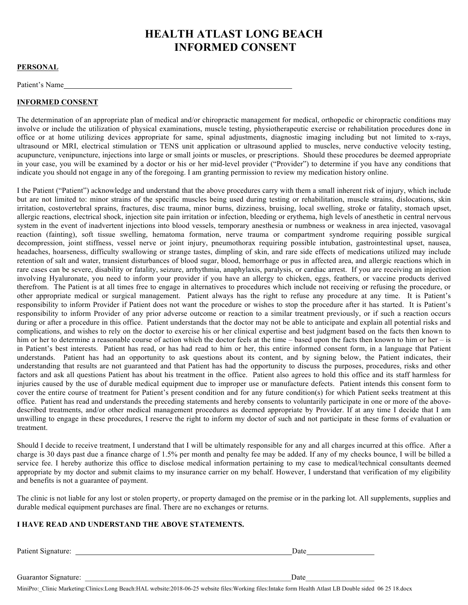# **HEALTH ATLAST LONG BEACH INFORMED CONSENT**

#### **PERSONAL**

Patient's Name

#### **INFORMED CONSENT**

The determination of an appropriate plan of medical and/or chiropractic management for medical, orthopedic or chiropractic conditions may involve or include the utilization of physical examinations, muscle testing, physiotherapeutic exercise or rehabilitation procedures done in office or at home utilizing devices appropriate for same, spinal adjustments, diagnostic imaging including but not limited to x-rays, ultrasound or MRI, electrical stimulation or TENS unit application or ultrasound applied to muscles, nerve conductive velocity testing, acupuncture, venipuncture, injections into large or small joints or muscles, or prescriptions. Should these procedures be deemed appropriate in your case, you will be examined by a doctor or his or her mid-level provider ("Provider") to determine if you have any conditions that indicate you should not engage in any of the foregoing. I am granting permission to review my medication history online.

I the Patient ("Patient") acknowledge and understand that the above procedures carry with them a small inherent risk of injury, which include but are not limited to: minor strains of the specific muscles being used during testing or rehabilitation, muscle strains, dislocations, skin irritation, costovertebral sprains, fractures, disc trauma, minor burns, dizziness, bruising, local swelling, stroke or fatality, stomach upset, allergic reactions, electrical shock, injection site pain irritation or infection, bleeding or erythema, high levels of anesthetic in central nervous system in the event of inadvertent injections into blood vessels, temporary anesthesia or numbness or weakness in area injected, vasovagal reaction (fainting), soft tissue swelling, hematoma formation, nerve trauma or compartment syndrome requiring possible surgical decompression, joint stiffness, vessel nerve or joint injury, pneumothorax requiring possible intubation, gastrointestinal upset, nausea, headaches, hoarseness, difficulty swallowing or strange tastes, dimpling of skin, and rare side effects of medications utilized may include retention of salt and water, transient disturbances of blood sugar, blood, hemorrhage or pus in affected area, and allergic reactions which in rare cases can be severe, disability or fatality, seizure, arrhythmia, anaphylaxis, paralysis, or cardiac arrest. If you are receiving an injection involving Hyaluronate, you need to inform your provider if you have an allergy to chicken, eggs, feathers, or vaccine products derived therefrom. The Patient is at all times free to engage in alternatives to procedures which include not receiving or refusing the procedure, or other appropriate medical or surgical management. Patient always has the right to refuse any procedure at any time. It is Patient's responsibility to inform Provider if Patient does not want the procedure or wishes to stop the procedure after it has started. It is Patient's responsibility to inform Provider of any prior adverse outcome or reaction to a similar treatment previously, or if such a reaction occurs during or after a procedure in this office. Patient understands that the doctor may not be able to anticipate and explain all potential risks and complications, and wishes to rely on the doctor to exercise his or her clinical expertise and best judgment based on the facts then known to him or her to determine a reasonable course of action which the doctor feels at the time – based upon the facts then known to him or her – is in Patient's best interests. Patient has read, or has had read to him or her, this entire informed consent form, in a language that Patient understands. Patient has had an opportunity to ask questions about its content, and by signing below, the Patient indicates, their understanding that results are not guaranteed and that Patient has had the opportunity to discuss the purposes, procedures, risks and other factors and ask all questions Patient has about his treatment in the office. Patient also agrees to hold this office and its staff harmless for injuries caused by the use of durable medical equipment due to improper use or manufacture defects. Patient intends this consent form to cover the entire course of treatment for Patient's present condition and for any future condition(s) for which Patient seeks treatment at this office. Patient has read and understands the preceding statements and hereby consents to voluntarily participate in one or more of the abovedescribed treatments, and/or other medical management procedures as deemed appropriate by Provider. If at any time I decide that I am unwilling to engage in these procedures, I reserve the right to inform my doctor of such and not participate in these forms of evaluation or treatment.

Should I decide to receive treatment, I understand that I will be ultimately responsible for any and all charges incurred at this office. After a charge is 30 days past due a finance charge of 1.5% per month and penalty fee may be added. If any of my checks bounce, I will be billed a service fee. I hereby authorize this office to disclose medical information pertaining to my case to medical/technical consultants deemed appropriate by my doctor and submit claims to my insurance carrier on my behalf. However, I understand that verification of my eligibility and benefits is not a guarantee of payment.

The clinic is not liable for any lost or stolen property, or property damaged on the premise or in the parking lot. All supplements, supplies and durable medical equipment purchases are final. There are no exchanges or returns.

#### **I HAVE READ AND UNDERSTAND THE ABOVE STATEMENTS.**

| Patient Signature:   | Date |
|----------------------|------|
|                      |      |
| Guarantor Signature: | Date |

MiniPro:\_Clinic Marketing:Clinics:Long Beach:HAL website:2018-06-25 website files:Working files:Intake form Health Atlast LB Double sided 06 25 18.docx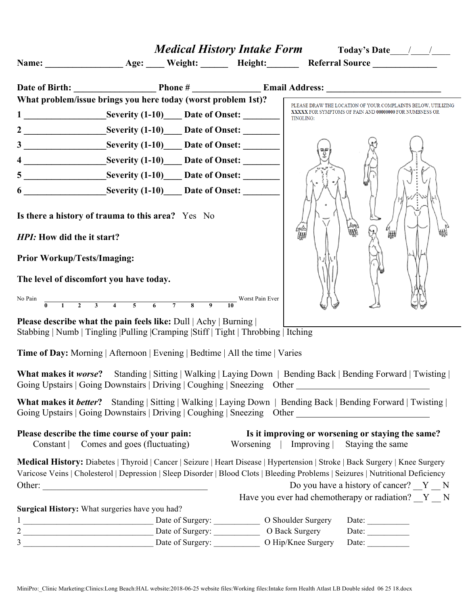|                                    |                                                                                                                                                                                                                                                                         |                       | <b>Medical History Intake Form</b> Today's Date $\frac{1}{\sqrt{2}}$  |
|------------------------------------|-------------------------------------------------------------------------------------------------------------------------------------------------------------------------------------------------------------------------------------------------------------------------|-----------------------|-----------------------------------------------------------------------|
|                                    |                                                                                                                                                                                                                                                                         |                       |                                                                       |
|                                    |                                                                                                                                                                                                                                                                         |                       |                                                                       |
|                                    | What problem/issue brings you here today (worst problem 1st)?                                                                                                                                                                                                           |                       | PLEASE DRAW THE LOCATION OF YOUR COMPLAINTS BELOW, UTILIZING          |
|                                    |                                                                                                                                                                                                                                                                         | TINGLING:             | XXXXX FOR SYMPTOMS OF PAIN AND 00000000 FOR NUMBNESS OR               |
|                                    |                                                                                                                                                                                                                                                                         |                       |                                                                       |
|                                    |                                                                                                                                                                                                                                                                         |                       |                                                                       |
|                                    |                                                                                                                                                                                                                                                                         |                       |                                                                       |
|                                    |                                                                                                                                                                                                                                                                         |                       |                                                                       |
|                                    | 6 Severity (1-10) Date of Onset:                                                                                                                                                                                                                                        |                       |                                                                       |
| HPI: How did the it start?         | Is there a history of trauma to this area? Yes No                                                                                                                                                                                                                       |                       | ₩                                                                     |
| <b>Prior Workup/Tests/Imaging:</b> |                                                                                                                                                                                                                                                                         |                       |                                                                       |
|                                    | The level of discomfort you have today.                                                                                                                                                                                                                                 |                       |                                                                       |
| No Pain                            | $\overline{0}$ 1 2 3 4 5 6 7 8 9 10<br>Worst Pain Ever                                                                                                                                                                                                                  |                       |                                                                       |
|                                    | <b>Please describe what the pain feels like:</b> Dull   Achy   Burning  <br>Stabbing   Numb   Tingling   Pulling   Cramping   Stiff   Tight   Throbbing   Itching                                                                                                       |                       |                                                                       |
|                                    | Time of Day: Morning   Afternoon   Evening   Bedtime   All the time   Varies                                                                                                                                                                                            |                       |                                                                       |
|                                    | What makes it worse? Standing   Sitting   Walking   Laying Down   Bending Back   Bending Forward   Twisting  <br>Going Upstairs   Going Downstairs   Driving   Coughing   Sneezing Other                                                                                |                       |                                                                       |
|                                    | <b>What makes it better?</b> Standing   Sitting   Walking   Laying Down   Bending Back   Bending Forward   Twisting  <br>Going Upstairs   Going Downstairs   Driving   Coughing   Sneezing Other                                                                        |                       |                                                                       |
|                                    | Please describe the time course of your pain:<br>Constant   Comes and goes (fluctuating)                                                                                                                                                                                | Worsening   Improving | Is it improving or worsening or staying the same?<br>Staying the same |
|                                    | <b>Medical History:</b> Diabetes   Thyroid   Cancer   Seizure   Heart Disease   Hypertension   Stroke   Back Surgery   Knee Surgery<br>Varicose Veins   Cholesterol   Depression   Sleep Disorder   Blood Clots   Bleeding Problems   Seizures   Nutritional Deficiency |                       |                                                                       |
|                                    |                                                                                                                                                                                                                                                                         |                       | Do you have a history of cancer? $Y$ N                                |
|                                    | Surgical History: What surgeries have you had?                                                                                                                                                                                                                          |                       | Have you ever had chemotherapy or radiation? $Y_N$ N                  |
|                                    |                                                                                                                                                                                                                                                                         |                       | Date: $\qquad \qquad$                                                 |
|                                    |                                                                                                                                                                                                                                                                         |                       | Date: $\qquad \qquad$                                                 |
|                                    |                                                                                                                                                                                                                                                                         |                       | Date: $\_\_$                                                          |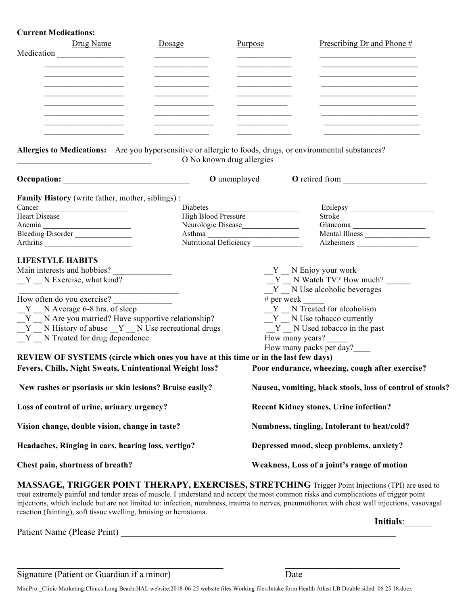#### **Current Medications:**

|            | Drug Name | Dosage | Purpose | Prescribing Dr and Phone # |
|------------|-----------|--------|---------|----------------------------|
| Medication |           |        |         |                            |
|            |           |        |         |                            |
|            |           |        |         |                            |
|            |           |        |         |                            |
|            |           |        |         |                            |
|            |           |        |         |                            |
|            |           |        |         |                            |

**Allergies to Medications:** Are you hypersensitive or allergic to foods, drugs, or environmental substances? O No known drug allergies

|                                                                                     | <b>O</b> unemployed              |                                                            |
|-------------------------------------------------------------------------------------|----------------------------------|------------------------------------------------------------|
| <b>Family History</b> (write father, mother, siblings):                             |                                  |                                                            |
| Cancer                                                                              |                                  |                                                            |
|                                                                                     |                                  | Stroke                                                     |
|                                                                                     |                                  |                                                            |
| Bleeding Disorder                                                                   | Asthma<br>Nutritional Deficiency | Mental Illness                                             |
| Arthritis                                                                           |                                  | Alzheimers                                                 |
| <b>LIFESTYLE HABITS</b>                                                             |                                  |                                                            |
|                                                                                     |                                  | $Y$ $\_\ N$ Enjoy your work                                |
| $Y$ N Exercise, what kind?                                                          |                                  | $Y$ N Watch TV? How much?                                  |
|                                                                                     |                                  | $Y$ $\_\ N$ Use alcoholic beverages                        |
| How often do you exercise?                                                          |                                  | $#$ per week                                               |
| Y N Average 6-8 hrs. of sleep                                                       |                                  | Y N Treated for alcoholism                                 |
| Y N Are you married? Have supportive relationship?                                  |                                  | Y N Use tobacco currently                                  |
| Y N History of abuse Y N Use recreational drugs                                     |                                  | Y N Used tobacco in the past                               |
| Y N Treated for drug dependence                                                     |                                  | How many years?                                            |
|                                                                                     |                                  |                                                            |
|                                                                                     |                                  | How many packs per day?                                    |
| REVIEW OF SYSTEMS (circle which ones you have at this time or in the last few days) |                                  |                                                            |
| Fevers, Chills, Night Sweats, Unintentional Weight loss?                            |                                  | Poor endurance, wheezing, cough after exercise?            |
| New rashes or psoriasis or skin lesions? Bruise easily?                             |                                  | Nausea, vomiting, black stools, loss of control of stools? |
| Loss of control of urine, urinary urgency?                                          |                                  | <b>Recent Kidney stones, Urine infection?</b>              |
| Vision change, double vision, change in taste?                                      |                                  | Numbness, tingling, Intolerant to heat/cold?               |
| Headaches, Ringing in ears, hearing loss, vertigo?                                  |                                  | Depressed mood, sleep problems, anxiety?                   |
| Chest pain, shortness of breath?                                                    |                                  | Weakness, Loss of a joint's range of motion                |

**MASSAGE, TRIGGER POINT THERAPY, EXERCISES, STRETCHING** Trigger Point Injections (TPI) are used to treat extremely painful and tender areas of muscle. I understand and accept the most common risks and complications of trigger point injections, which include but are not limited to: infection, numbness, trauma to nerves, pneumothorax with chest wall injections, vasovagal reaction (fainting), soft tissue swelling, bruising or hematoma.

**Initials**:\_\_\_\_\_\_

Patient Name (Please Print) \_\_\_\_\_\_\_\_\_\_\_\_\_\_\_\_\_\_\_\_\_\_\_\_\_\_\_\_\_\_\_\_\_\_\_\_\_\_\_\_\_\_\_\_\_\_\_\_\_\_\_\_\_\_\_\_\_\_\_\_

Signature (Patient or Guardian if a minor) Date

MiniPro:\_Clinic Marketing:Clinics:Long Beach:HAL website:2018-06-25 website files:Working files:Intake form Health Atlast LB Double sided 06 25 18.docx

 $\mathcal{L}_\text{max} = \mathcal{L}_\text{max} = \mathcal{L}_\text{max} = \mathcal{L}_\text{max} = \mathcal{L}_\text{max} = \mathcal{L}_\text{max} = \mathcal{L}_\text{max} = \mathcal{L}_\text{max} = \mathcal{L}_\text{max} = \mathcal{L}_\text{max} = \mathcal{L}_\text{max} = \mathcal{L}_\text{max} = \mathcal{L}_\text{max} = \mathcal{L}_\text{max} = \mathcal{L}_\text{max} = \mathcal{L}_\text{max} = \mathcal{L}_\text{max} = \mathcal{L}_\text{max} = \mathcal{$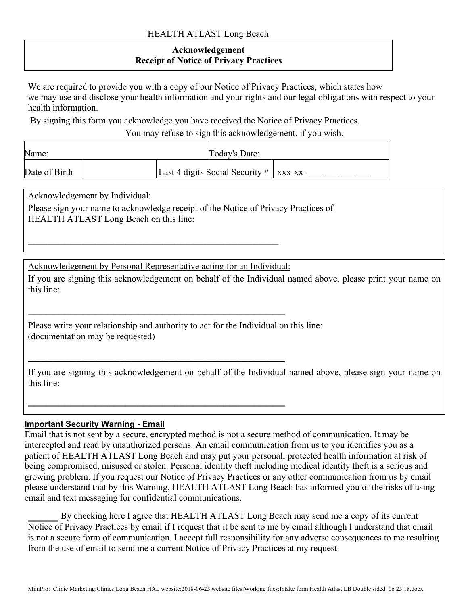### HEALTH ATLAST Long Beach

## **Acknowledgement Receipt of Notice of Privacy Practices**

We are required to provide you with a copy of our Notice of Privacy Practices, which states how we may use and disclose your health information and your rights and our legal obligations with respect to your health information.

By signing this form you acknowledge you have received the Notice of Privacy Practices.

You may refuse to sign this acknowledgement, if you wish.

| Name:         |  | Today's Date:                                |  |
|---------------|--|----------------------------------------------|--|
| Date of Birth |  | Last 4 digits Social Security $\#$   xxx-xx- |  |

Acknowledgement by Individual:

Please sign your name to acknowledge receipt of the Notice of Privacy Practices of HEALTH ATLAST Long Beach on this line:

Acknowledgement by Personal Representative acting for an Individual:

**\_\_\_\_\_\_\_\_\_\_\_\_\_\_\_\_\_\_\_\_\_\_\_\_\_\_\_\_\_\_\_\_\_\_\_\_\_\_\_\_\_\_**

**\_\_\_\_\_\_\_\_\_\_\_\_\_\_\_\_\_\_\_\_\_\_\_\_\_\_\_\_\_\_\_\_\_\_\_\_\_\_\_\_\_\_**

**\_\_\_\_\_\_\_\_\_\_\_\_\_\_\_\_\_\_\_\_\_\_\_\_\_\_\_\_\_\_\_\_\_\_\_\_\_\_\_\_\_\_**

**\_\_\_\_\_\_\_\_\_\_\_\_\_\_\_\_\_\_\_\_\_\_\_\_\_\_\_\_\_\_\_\_\_\_\_\_\_\_\_\_\_**

If you are signing this acknowledgement on behalf of the Individual named above, please print your name on this line:

Please write your relationship and authority to act for the Individual on this line: (documentation may be requested)

If you are signing this acknowledgement on behalf of the Individual named above, please sign your name on this line:

### **Important Security Warning - Email**

Email that is not sent by a secure, encrypted method is not a secure method of communication. It may be intercepted and read by unauthorized persons. An email communication from us to you identifies you as a patient of HEALTH ATLAST Long Beach and may put your personal, protected health information at risk of being compromised, misused or stolen. Personal identity theft including medical identity theft is a serious and growing problem. If you request our Notice of Privacy Practices or any other communication from us by email please understand that by this Warning, HEALTH ATLAST Long Beach has informed you of the risks of using email and text messaging for confidential communications.

**\_\_\_\_\_** By checking here I agree that HEALTH ATLAST Long Beach may send me a copy of its current Notice of Privacy Practices by email if I request that it be sent to me by email although l understand that email is not a secure form of communication. I accept full responsibility for any adverse consequences to me resulting from the use of email to send me a current Notice of Privacy Practices at my request.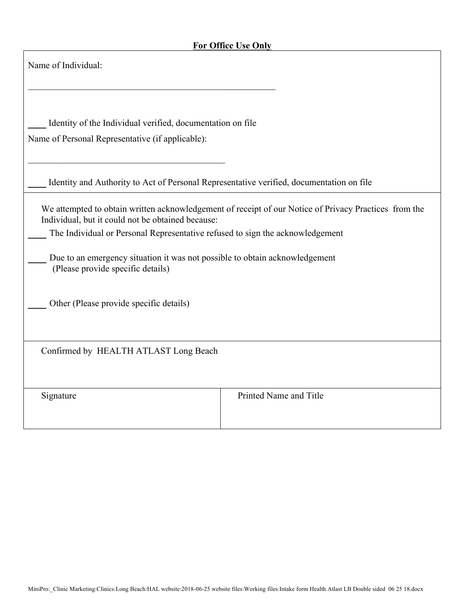г

| Name of Individual:                                                                                                                                                                                                                                                                                                                                             |                        |  |  |  |
|-----------------------------------------------------------------------------------------------------------------------------------------------------------------------------------------------------------------------------------------------------------------------------------------------------------------------------------------------------------------|------------------------|--|--|--|
| Identity of the Individual verified, documentation on file<br>Name of Personal Representative (if applicable):                                                                                                                                                                                                                                                  |                        |  |  |  |
| Identity and Authority to Act of Personal Representative verified, documentation on file                                                                                                                                                                                                                                                                        |                        |  |  |  |
| We attempted to obtain written acknowledgement of receipt of our Notice of Privacy Practices from the<br>Individual, but it could not be obtained because:<br>The Individual or Personal Representative refused to sign the acknowledgement<br>Due to an emergency situation it was not possible to obtain acknowledgement<br>(Please provide specific details) |                        |  |  |  |
| Other (Please provide specific details)                                                                                                                                                                                                                                                                                                                         |                        |  |  |  |
| Confirmed by HEALTH ATLAST Long Beach                                                                                                                                                                                                                                                                                                                           |                        |  |  |  |
| Signature                                                                                                                                                                                                                                                                                                                                                       | Printed Name and Title |  |  |  |